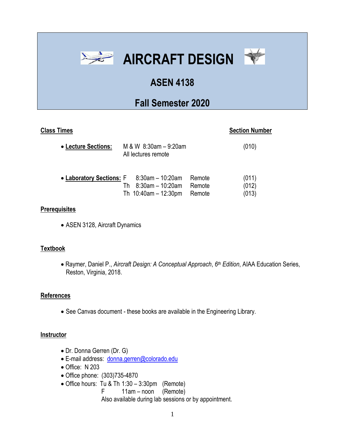



# **ASEN 4138**

# **Fall Semester 2020**

## **Class Times** Section Number

| • Lecture Sections:                            | M & W 8:30am - 9:20am<br>All lectures remote |        | (010) |
|------------------------------------------------|----------------------------------------------|--------|-------|
| • Laboratory Sections: $F = 8:30$ am – 10:20am | 8:30am - 10:20am                             | Remote | (011) |
|                                                | Th.                                          | Remote | (012) |
|                                                | Th $10:40$ am - 12:30pm                      | Remote | (013) |

#### **Prerequisites**

• ASEN 3128, Aircraft Dynamics

### **Textbook**

• Raymer, Daniel P., *Aircraft Design: A Conceptual Approach*, *6 th Edition*, AIAA Education Series, Reston, Virginia, 2018.

### **References**

• See Canvas document - these books are available in the Engineering Library.

#### **Instructor**

- Dr. Donna Gerren (Dr. G)
- E-mail address: [donna.gerren@colorado.edu](mailto:donna.gerren@colorado.edu)
- Office: N 203
- Office phone: (303)735-4870
- Office hours: Tu & Th 1:30 3:30pm (Remote)
	- F 11am noon (Remote)

Also available during lab sessions or by appointment.